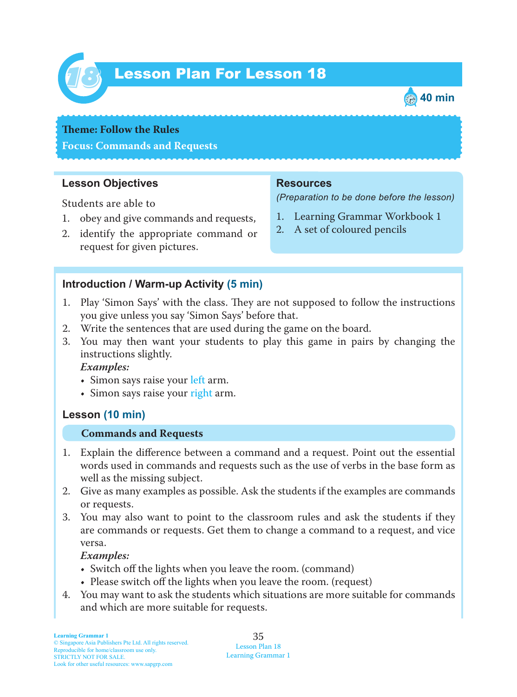

# Lesson Plan For Lesson 18 *18*



#### **Theme: Follow the Rules**

**Focus: Commands and Requests**

## **Lesson Objectives**

Students are able to

- 1. obey and give commands and requests,
- 2. identify the appropriate command or request for given pictures.

## **Resources**

*(Preparation to be done before the lesson)*

- 1. Learning Grammar Workbook 1
- 2. A set of coloured pencils

### **Introduction / Warm-up Activity (5 min)**

- 1. Play 'Simon Says' with the class. They are not supposed to follow the instructions you give unless you say 'Simon Says' before that.
- 2. Write the sentences that are used during the game on the board.
- 3. You may then want your students to play this game in pairs by changing the instructions slightly.

 *Examples:*

- Simon says raise your left arm.
- Simon says raise your right arm.

## **Lesson (10 min)**

#### **Commands and Requests**

- 1. Explain the difference between a command and a request. Point out the essential words used in commands and requests such as the use of verbs in the base form as well as the missing subject.
- 2. Give as many examples as possible. Ask the students if the examples are commands or requests.
- 3. You may also want to point to the classroom rules and ask the students if they are commands or requests. Get them to change a command to a request, and vice versa.

#### *Examples:*

- Switch off the lights when you leave the room. (command)
- Please switch off the lights when you leave the room. (request)
- 4. You may want to ask the students which situations are more suitable for commands and which are more suitable for requests.

35 Lesson Plan 18 Learning Grammar 1